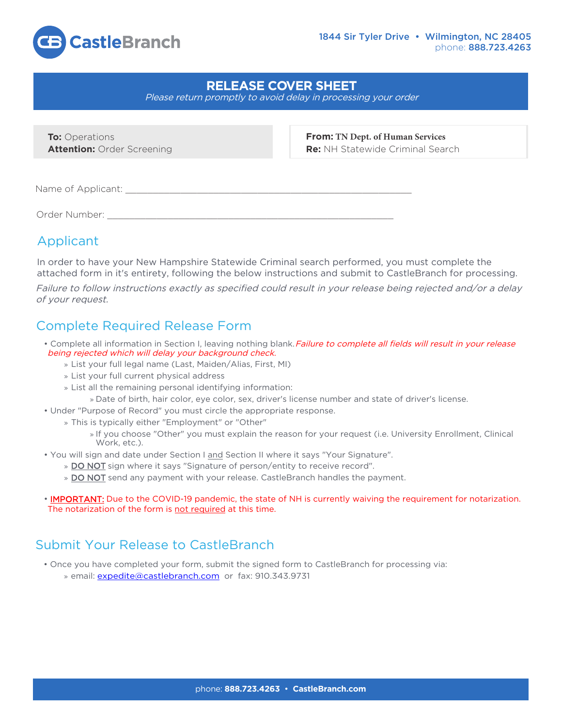

## **RELEASE COVER SHEET**

Please return promptly to avoid delay in processing your order

**To: Operations Attention:** Order Screening **From: TN Dept. of Human Services Re:** NH Statewide Criminal Search

Name of Applicant: \_\_\_\_\_\_\_\_\_\_\_\_\_\_\_\_\_\_\_\_\_\_\_\_\_\_\_\_\_\_\_\_\_\_\_\_\_\_\_\_\_\_\_\_\_\_\_\_\_\_\_\_

Order Number:

## Applicant

In order to have your New Hampshire Statewide Criminal search performed, you must complete the attached form in it's entirety, following the below instructions and submit to CastleBranch for processing.

Failure to follow instructions exactly as specified could result in your release being rejected and/or a delay of your request.

## Complete Required Release Form

- Complete all information in Section I, leaving nothing blank. Failure to complete all fields will result in your release being rejected which will delay your background check.
	- » List your full legal name (Last, Maiden/Alias, First, MI)
	- » List your full current physical address
	- » List all the remaining personal identifying information:
		- » Date of birth, hair color, eye color, sex, driver's license number and state of driver's license.
- Under "Purpose of Record" you must circle the appropriate response.
	- » This is typically either "Employment" or "Other"
		- » If you choose "Other" you must explain the reason for your request (i.e. University Enrollment, Clinical Work, etc.).
- You will sign and date under Section I and Section II where it says "Your Signature".
	- » DO NOT sign where it says "Signature of person/entity to receive record".
	- » DO NOT send any payment with your release. CastleBranch handles the payment.
- **IMPORTANT:** Due to the COVID-19 pandemic, the state of NH is currently waiving the requirement for notarization. The notarization of the form is not required at this time.

## Submit Your Release to CastleBranch

- Once you have completed your form, submit the signed form to CastleBranch for processing via:
	- » email: expedite@castlebranch.com or fax: 910.343.9731